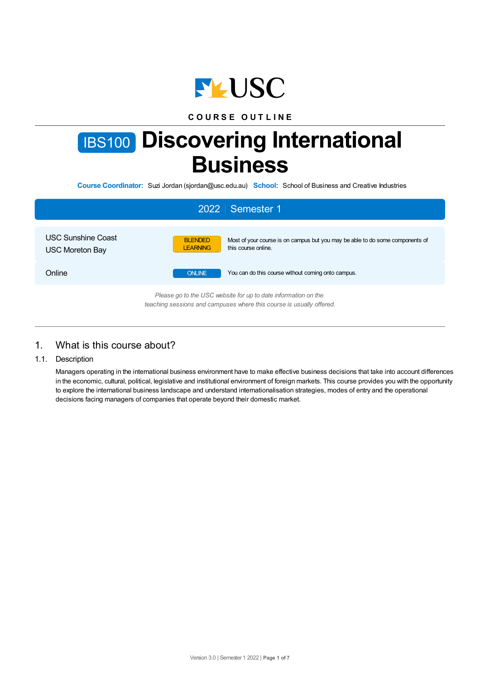

## **C O U R S E O U T L I N E**

# IBS100 **Discovering International Business**

**Course Coordinator:** Suzi Jordan (sjordan@usc.edu.au) **School:** School of Business and Creative Industries

|                                                     | 2022 Semester 1                                                                                                                           |
|-----------------------------------------------------|-------------------------------------------------------------------------------------------------------------------------------------------|
| <b>USC Sunshine Coast</b><br><b>USC Moreton Bay</b> | <b>BLENDED</b><br>Most of your course is on campus but you may be able to do some components of<br><b>LEARNING</b><br>this course online. |
| Online                                              | <b>ONLINE</b><br>You can do this course without coming onto campus.                                                                       |
|                                                     | Please go to the USC website for up to date information on the<br>teaching sessions and campuses where this course is usually offered.    |

# 1. What is this course about?

## 1.1. Description

Managers operating in the international business environment have to make effective business decisions that take into account differences in the economic, cultural, political, legislative and institutional environment of foreign markets. This course provides you with the opportunity to explore the international business landscape and understand internationalisation strategies, modes of entry and the operational decisions facing managers of companies that operate beyond their domestic market.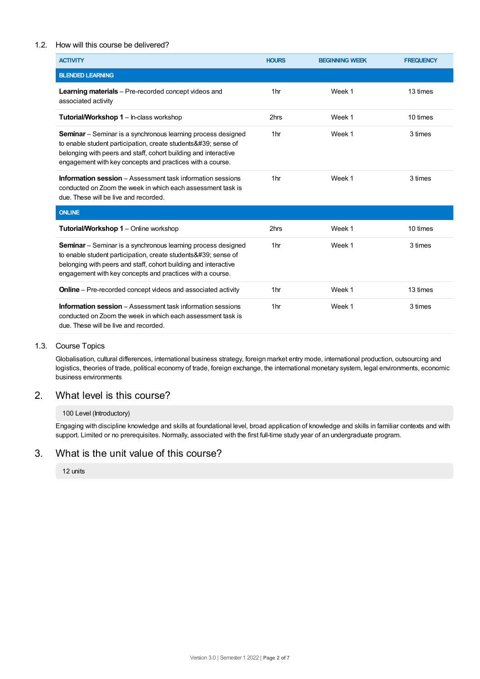## 1.2. How will this course be delivered?

| <b>ACTIVITY</b>                                                                                                                                                                                                                                                         | <b>HOURS</b>    | <b>BEGINNING WEEK</b> | <b>FREQUENCY</b> |
|-------------------------------------------------------------------------------------------------------------------------------------------------------------------------------------------------------------------------------------------------------------------------|-----------------|-----------------------|------------------|
| <b>BLENDED LEARNING</b>                                                                                                                                                                                                                                                 |                 |                       |                  |
| <b>Learning materials</b> – Pre-recorded concept videos and<br>associated activity                                                                                                                                                                                      | 1 <sub>hr</sub> | Week 1                | 13 times         |
| <b>Tutorial/Workshop 1 – In-class workshop</b>                                                                                                                                                                                                                          | 2hrs            | Week 1                | 10 times         |
| <b>Seminar</b> – Seminar is a synchronous learning process designed<br>to enable student participation, create students & #39; sense of<br>belonging with peers and staff, cohort building and interactive<br>engagement with key concepts and practices with a course. | 1 <sub>hr</sub> | Week 1                | 3 times          |
| <b>Information session</b> – Assessment task information sessions<br>conducted on Zoom the week in which each assessment task is<br>due. These will be live and recorded.                                                                                               | 1 <sub>hr</sub> | Week 1                | 3 times          |
| <b>ONLINE</b>                                                                                                                                                                                                                                                           |                 |                       |                  |
| <b>Tutorial/Workshop 1 – Online workshop</b>                                                                                                                                                                                                                            | 2hrs            | Week 1                | 10 times         |
| <b>Seminar</b> – Seminar is a synchronous learning process designed<br>to enable student participation, create students ' sense of<br>belonging with peers and staff, cohort building and interactive<br>engagement with key concepts and practices with a course.      | 1 <sub>hr</sub> | Week 1                | 3 times          |
| <b>Online</b> – Pre-recorded concept videos and associated activity                                                                                                                                                                                                     | 1 <sub>hr</sub> | Week 1                | 13 times         |
| <b>Information session</b> – Assessment task information sessions<br>conducted on Zoom the week in which each assessment task is<br>due. These will be live and recorded.                                                                                               | 1 <sub>hr</sub> | Week 1                | 3 times          |

## 1.3. Course Topics

Globalisation, cultural differences, international business strategy, foreign market entry mode, international production, outsourcing and logistics, theories of trade, political economy of trade, foreign exchange, the international monetary system, legal environments, economic business environments

# 2. What level is this course?

## 100 Level (Introductory)

Engaging with discipline knowledge and skills at foundational level, broad application of knowledge and skills in familiar contexts and with support. Limited or no prerequisites. Normally, associated with the first full-time study year of an undergraduate program.

## 3. What is the unit value of this course?

## 12 units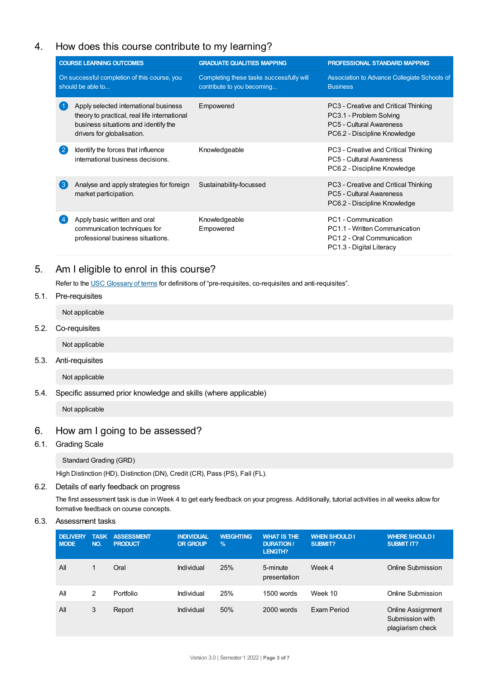# 4. How does this course contribute to my learning?

| <b>COURSE LEARNING OUTCOMES</b>                                   |                                                                                                                                                             | <b>GRADUATE QUALITIES MAPPING</b>                                      | PROFESSIONAL STANDARD MAPPING                                                                                                      |  |
|-------------------------------------------------------------------|-------------------------------------------------------------------------------------------------------------------------------------------------------------|------------------------------------------------------------------------|------------------------------------------------------------------------------------------------------------------------------------|--|
| On successful completion of this course, you<br>should be able to |                                                                                                                                                             | Completing these tasks successfully will<br>contribute to you becoming | Association to Advance Collegiate Schools of<br><b>Business</b>                                                                    |  |
|                                                                   | Apply selected international business<br>theory to practical, real life international<br>business situations and identify the<br>drivers for globalisation. | Empowered                                                              | PC3 - Creative and Critical Thinking<br>PC3.1 - Problem Solving<br><b>PC5 - Cultural Awareness</b><br>PC6.2 - Discipline Knowledge |  |
| $\mathbf{2}$                                                      | Identify the forces that influence<br>international business decisions.                                                                                     | Knowledgeable                                                          | PC3 - Creative and Critical Thinking<br>PC5 - Cultural Awareness<br>PC6.2 - Discipline Knowledge                                   |  |
| (ვ                                                                | Analyse and apply strategies for foreign<br>market participation.                                                                                           | Sustainability-focussed                                                | PC3 - Creative and Critical Thinking<br>PC5 - Cultural Awareness<br>PC6.2 - Discipline Knowledge                                   |  |
|                                                                   | Apply basic written and oral<br>communication techniques for<br>professional business situations.                                                           | Knowledgeable<br>Empowered                                             | PC1 - Communication<br>PC1.1 - Written Communication<br>PC1.2 - Oral Communication<br>PC1.3 - Digital Literacy                     |  |

# 5. Am Ieligible to enrol in this course?

Refer to the USC [Glossary](https://www.usc.edu.au/about/policies-and-procedures/glossary-of-terms-for-policy-and-procedures) of terms for definitions of "pre-requisites, co-requisites and anti-requisites".

## 5.1. Pre-requisites

Not applicable

5.2. Co-requisites

Not applicable

5.3. Anti-requisites

Not applicable

5.4. Specific assumed prior knowledge and skills (where applicable)

Not applicable

# 6. How am Igoing to be assessed?

## 6.1. Grading Scale

Standard Grading (GRD)

High Distinction (HD), Distinction (DN), Credit (CR), Pass (PS), Fail (FL).

#### 6.2. Details of early feedback on progress

The first assessment task is due in Week 4 to get early feedback on your progress. Additionally, tutorial activities in all weeks allow for formative feedback on course concepts.

## 6.3. Assessment tasks

| <b>DELIVERY</b><br><b>MODE</b> | <b>TASK</b><br>NO. | <b>ASSESSMENT</b><br><b>PRODUCT</b> | <b>INDIVIDUAL</b><br><b>OR GROUP</b> | <b>WEIGHTING</b><br>$\frac{9}{6}$ | <b>WHAT IS THE</b><br><b>DURATION/</b><br><b>LENGTH?</b> | <b>WHEN SHOULD I</b><br>SUBMIT? | <b>WHERE SHOULD I</b><br><b>SUBMIT IT?</b>                      |
|--------------------------------|--------------------|-------------------------------------|--------------------------------------|-----------------------------------|----------------------------------------------------------|---------------------------------|-----------------------------------------------------------------|
| All                            |                    | Oral                                | Individual                           | 25%                               | 5-minute<br>presentation                                 | Week 4                          | Online Submission                                               |
| All                            | 2                  | Portfolio                           | Individual                           | 25%                               | 1500 words                                               | Week 10                         | Online Submission                                               |
| All                            | 3                  | Report                              | Individual                           | 50%                               | 2000 words                                               | Exam Period                     | <b>Online Assignment</b><br>Submission with<br>plagiarism check |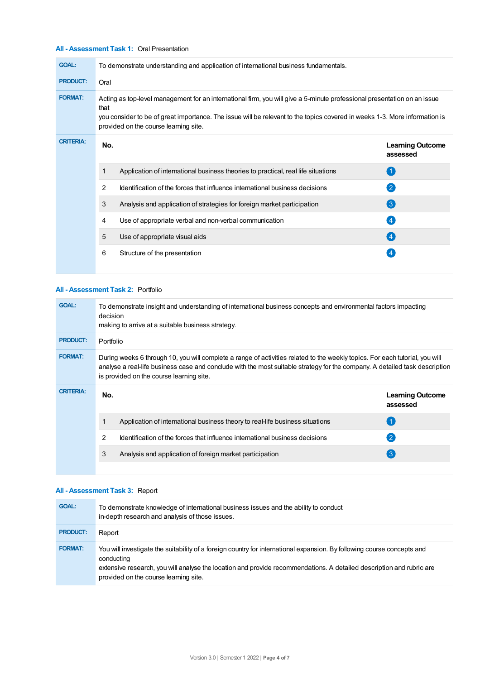## **All - Assessment Task 1:** Oral Presentation

| <b>GOAL:</b>     |                                                                                                                                                                                                                                                                                                         | To demonstrate understanding and application of international business fundamentals. |                                     |  |  |  |
|------------------|---------------------------------------------------------------------------------------------------------------------------------------------------------------------------------------------------------------------------------------------------------------------------------------------------------|--------------------------------------------------------------------------------------|-------------------------------------|--|--|--|
| <b>PRODUCT:</b>  | Oral                                                                                                                                                                                                                                                                                                    |                                                                                      |                                     |  |  |  |
| <b>FORMAT:</b>   | Acting as top-level management for an international firm, you will give a 5-minute professional presentation on an issue<br>that<br>you consider to be of great importance. The issue will be relevant to the topics covered in weeks 1-3. More information is<br>provided on the course learning site. |                                                                                      |                                     |  |  |  |
| <b>CRITERIA:</b> | No.                                                                                                                                                                                                                                                                                                     |                                                                                      | <b>Learning Outcome</b><br>assessed |  |  |  |
|                  | 1                                                                                                                                                                                                                                                                                                       | Application of international business theories to practical, real life situations    | $\left( 1 \right)$                  |  |  |  |
|                  | 2                                                                                                                                                                                                                                                                                                       | Identification of the forces that influence international business decisions         | $\left( 2\right)$                   |  |  |  |
|                  | 3                                                                                                                                                                                                                                                                                                       | Analysis and application of strategies for foreign market participation              | $\left( 3\right)$                   |  |  |  |
|                  | 4                                                                                                                                                                                                                                                                                                       | Use of appropriate verbal and non-verbal communication                               | $\overline{4}$                      |  |  |  |
|                  | 5                                                                                                                                                                                                                                                                                                       | Use of appropriate visual aids                                                       | $\left( 4 \right)$                  |  |  |  |
|                  | 6                                                                                                                                                                                                                                                                                                       | Structure of the presentation                                                        |                                     |  |  |  |
|                  |                                                                                                                                                                                                                                                                                                         |                                                                                      |                                     |  |  |  |

## **All - Assessment Task 2:** Portfolio

| <b>GOAL:</b>     | To demonstrate insight and understanding of international business concepts and environmental factors impacting<br>decision<br>making to arrive at a suitable business strategy.                                                                                                                        |                                                                               |                                     |  |  |
|------------------|---------------------------------------------------------------------------------------------------------------------------------------------------------------------------------------------------------------------------------------------------------------------------------------------------------|-------------------------------------------------------------------------------|-------------------------------------|--|--|
| <b>PRODUCT:</b>  | Portfolio                                                                                                                                                                                                                                                                                               |                                                                               |                                     |  |  |
| <b>FORMAT:</b>   | During weeks 6 through 10, you will complete a range of activities related to the weekly topics. For each tutorial, you will<br>analyse a real-life business case and conclude with the most suitable strategy for the company. A detailed task description<br>is provided on the course learning site. |                                                                               |                                     |  |  |
| <b>CRITERIA:</b> | No.                                                                                                                                                                                                                                                                                                     |                                                                               | <b>Learning Outcome</b><br>assessed |  |  |
|                  |                                                                                                                                                                                                                                                                                                         | Application of international business theory to real-life business situations |                                     |  |  |
|                  | 2                                                                                                                                                                                                                                                                                                       | Identification of the forces that influence international business decisions  | $\mathbf{C}$                        |  |  |
|                  | 3                                                                                                                                                                                                                                                                                                       | Analysis and application of foreign market participation                      | (3)                                 |  |  |
|                  |                                                                                                                                                                                                                                                                                                         |                                                                               |                                     |  |  |

## **All - Assessment Task 3:** Report

| <b>GOAL:</b>    | To demonstrate knowledge of international business issues and the ability to conduct<br>in-depth research and analysis of those issues.                                                                                                                                                                |
|-----------------|--------------------------------------------------------------------------------------------------------------------------------------------------------------------------------------------------------------------------------------------------------------------------------------------------------|
| <b>PRODUCT:</b> | Report                                                                                                                                                                                                                                                                                                 |
| <b>FORMAT:</b>  | You will investigate the suitability of a foreign country for international expansion. By following course concepts and<br>conducting<br>extensive research, you will analyse the location and provide recommendations. A detailed description and rubric are<br>provided on the course learning site. |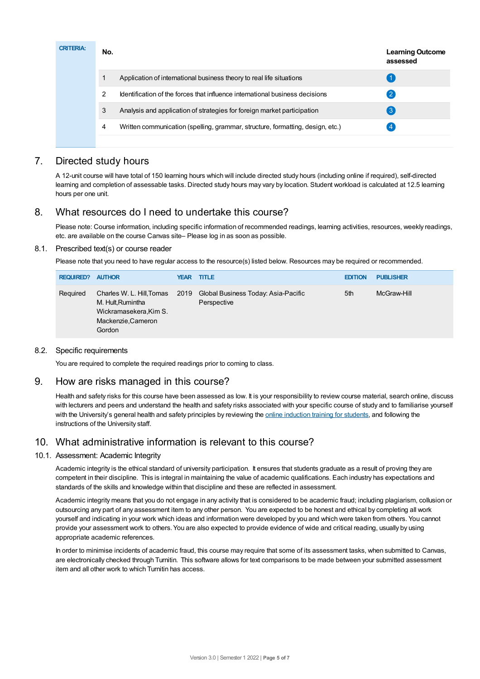| <b>CRITERIA:</b> | No. |                                                                                | <b>Learning Outcome</b><br>assessed |
|------------------|-----|--------------------------------------------------------------------------------|-------------------------------------|
|                  |     | Application of international business theory to real life situations           |                                     |
|                  | 2   | Identification of the forces that influence international business decisions   | 2                                   |
|                  | 3   | Analysis and application of strategies for foreign market participation        | $\lvert 3 \rvert$                   |
|                  | 4   | Written communication (spelling, grammar, structure, formatting, design, etc.) | 4                                   |
|                  |     |                                                                                |                                     |

# 7. Directed study hours

A 12-unit course will have total of 150 learning hours which will include directed study hours (including online if required), self-directed learning and completion of assessable tasks. Directed study hours may vary by location. Student workload is calculated at 12.5 learning hours per one unit.

# 8. What resources do I need to undertake this course?

Please note: Course information, including specific information of recommended readings, learning activities, resources, weekly readings, etc. are available on the course Canvas site– Please log in as soon as possible.

## 8.1. Prescribed text(s) or course reader

Please note that you need to have regular access to the resource(s) listed below. Resources may be required or recommended.

| <b>REQUIRED?</b> | <b>AUTHOR</b>                                                                                                 | <b>YEAR TITLE</b>                                  | <b>EDITION</b> | <b>PUBLISHER</b> |
|------------------|---------------------------------------------------------------------------------------------------------------|----------------------------------------------------|----------------|------------------|
| Required         | Charles W. L. Hill, Tomas 2019<br>M. Hult, Rumintha<br>Wickramasekera, Kim S.<br>Mackenzie, Cameron<br>Gordon | Global Business Today: Asia-Pacific<br>Perspective | 5th            | McGraw-Hill      |

## 8.2. Specific requirements

You are required to complete the required readings prior to coming to class.

# 9. How are risks managed in this course?

Health and safety risks for this course have been assessed as low. It is your responsibility to review course material, search online, discuss with lecturers and peers and understand the health and safety risks associated with your specific course of study and to familiarise yourself with the University's general health and safety principles by reviewing the online [induction](https://online.usc.edu.au/webapps/blackboard/content/listContentEditable.jsp?content_id=_632657_1&course_id=_14432_1) training for students, and following the instructions of the University staff.

# 10. What administrative information is relevant to this course?

## 10.1. Assessment: Academic Integrity

Academic integrity is the ethical standard of university participation. It ensures that students graduate as a result of proving they are competent in their discipline. This is integral in maintaining the value of academic qualifications. Each industry has expectations and standards of the skills and knowledge within that discipline and these are reflected in assessment.

Academic integrity means that you do not engage in any activity that is considered to be academic fraud; including plagiarism, collusion or outsourcing any part of any assessment item to any other person. You are expected to be honest and ethical by completing all work yourself and indicating in your work which ideas and information were developed by you and which were taken from others. You cannot provide your assessment work to others.You are also expected to provide evidence of wide and critical reading, usually by using appropriate academic references.

In order to minimise incidents of academic fraud, this course may require that some of its assessment tasks, when submitted to Canvas, are electronically checked through Turnitin. This software allows for text comparisons to be made between your submitted assessment item and all other work to which Turnitin has access.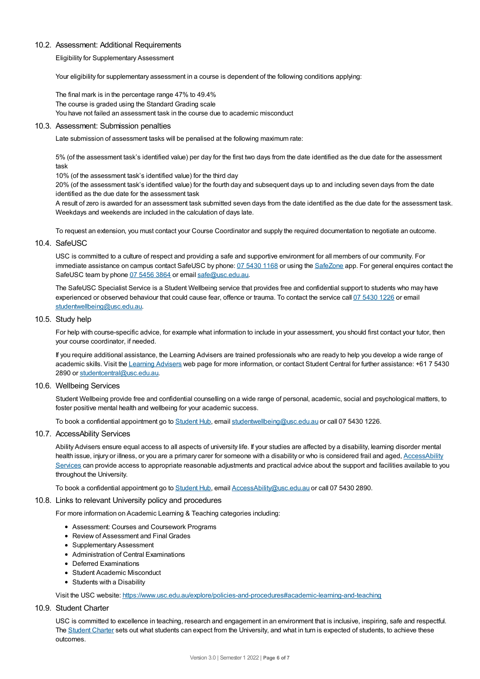#### 10.2. Assessment: Additional Requirements

Eligibility for Supplementary Assessment

Your eligibility for supplementary assessment in a course is dependent of the following conditions applying:

The final mark is in the percentage range 47% to 49.4% The course is graded using the Standard Grading scale You have not failed an assessment task in the course due to academic misconduct

#### 10.3. Assessment: Submission penalties

Late submission of assessment tasks will be penalised at the following maximum rate:

5% (of the assessment task's identified value) per day for the first two days from the date identified as the due date for the assessment task

10% (of the assessment task's identified value) for the third day

20% (of the assessment task's identified value) for the fourth day and subsequent days up to and including seven days from the date identified as the due date for the assessment task

A result of zero is awarded for an assessment task submitted seven days from the date identified as the due date for the assessment task. Weekdays and weekends are included in the calculation of days late.

To request an extension, you must contact your Course Coordinator and supply the required documentation to negotiate an outcome.

#### 10.4. SafeUSC

USC is committed to a culture of respect and providing a safe and supportive environment for all members of our community. For immediate assistance on campus contact SafeUSC by phone: 07 [5430](tel:07%205430%201168) 1168 or using the [SafeZone](https://www.safezoneapp.com) app. For general enquires contact the SafeUSC team by phone 07 [5456](tel:07%205456%203864) 3864 or email [safe@usc.edu.au](mailto:safe@usc.edu.au).

The SafeUSC Specialist Service is a Student Wellbeing service that provides free and confidential support to students who may have experienced or observed behaviour that could cause fear, offence or trauma. To contact the service call 07 [5430](tel:07%205430%201226) 1226 or email [studentwellbeing@usc.edu.au](mailto:studentwellbeing@usc.edu.au).

#### 10.5. Study help

For help with course-specific advice, for example what information to include in your assessment, you should first contact your tutor, then your course coordinator, if needed.

If you require additional assistance, the Learning Advisers are trained professionals who are ready to help you develop a wide range of academic skills. Visit the Learning [Advisers](https://www.usc.edu.au/current-students/student-support/academic-and-study-support/learning-advisers) web page for more information, or contact Student Central for further assistance: +61 7 5430 2890 or [studentcentral@usc.edu.au](mailto:studentcentral@usc.edu.au).

#### 10.6. Wellbeing Services

Student Wellbeing provide free and confidential counselling on a wide range of personal, academic, social and psychological matters, to foster positive mental health and wellbeing for your academic success.

To book a confidential appointment go to [Student](https://studenthub.usc.edu.au/) Hub, email [studentwellbeing@usc.edu.au](mailto:studentwellbeing@usc.edu.au) or call 07 5430 1226.

#### 10.7. AccessAbility Services

Ability Advisers ensure equal access to all aspects of university life. If your studies are affected by a disability, learning disorder mental health issue, injury or illness, or you are a primary carer for someone with a disability or who is considered frail and aged, [AccessAbility](https://www.usc.edu.au/learn/student-support/accessability-services/documentation-requirements) Services can provide access to appropriate reasonable adjustments and practical advice about the support and facilities available to you throughout the University.

To book a confidential appointment go to [Student](https://studenthub.usc.edu.au/) Hub, email [AccessAbility@usc.edu.au](mailto:AccessAbility@usc.edu.au) or call 07 5430 2890.

#### 10.8. Links to relevant University policy and procedures

For more information on Academic Learning & Teaching categories including:

- Assessment: Courses and Coursework Programs
- Review of Assessment and Final Grades
- Supplementary Assessment
- Administration of Central Examinations
- Deferred Examinations
- Student Academic Misconduct
- Students with a Disability

Visit the USC website: <https://www.usc.edu.au/explore/policies-and-procedures#academic-learning-and-teaching>

#### 10.9. Student Charter

USC is committed to excellence in teaching, research and engagement in an environment that is inclusive, inspiring, safe and respectful. The [Student](https://www.usc.edu.au/current-students/student-charter) Charter sets out what students can expect from the University, and what in turn is expected of students, to achieve these outcomes.